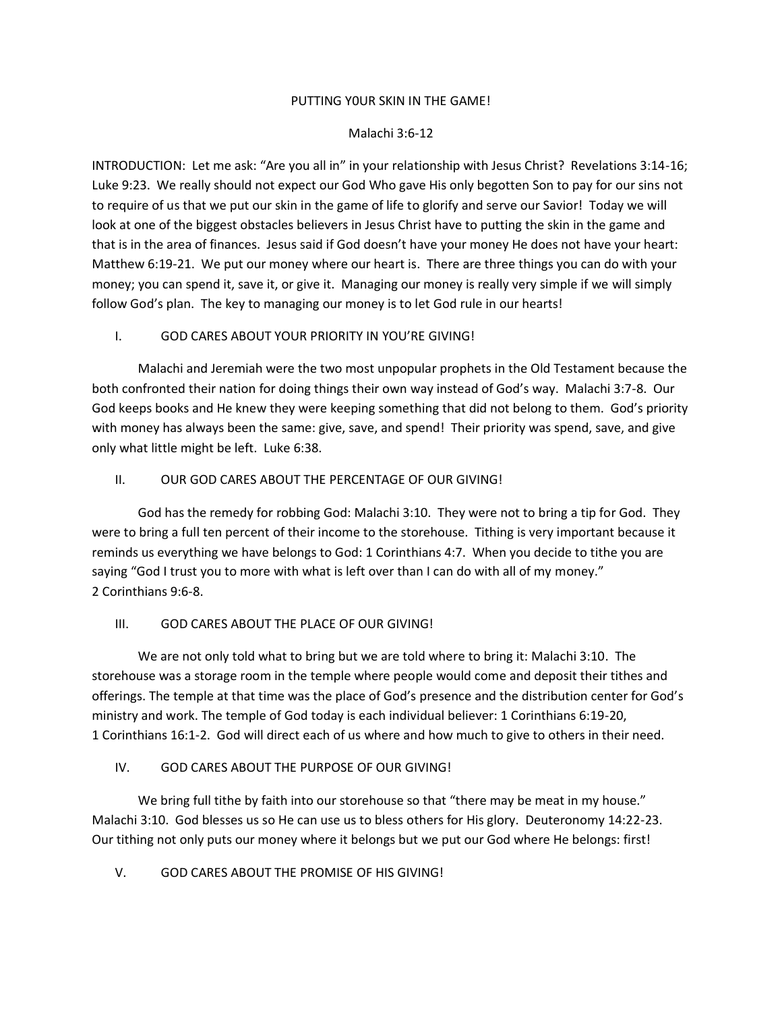### PUTTING Y0UR SKIN IN THE GAME!

### Malachi 3:6-12

INTRODUCTION: Let me ask: "Are you all in" in your relationship with Jesus Christ? Revelations 3:14-16; Luke 9:23. We really should not expect our God Who gave His only begotten Son to pay for our sins not to require of us that we put our skin in the game of life to glorify and serve our Savior! Today we will look at one of the biggest obstacles believers in Jesus Christ have to putting the skin in the game and that is in the area of finances. Jesus said if God doesn't have your money He does not have your heart: Matthew 6:19-21. We put our money where our heart is. There are three things you can do with your money; you can spend it, save it, or give it. Managing our money is really very simple if we will simply follow God's plan. The key to managing our money is to let God rule in our hearts!

### I. GOD CARES ABOUT YOUR PRIORITY IN YOU'RE GIVING!

Malachi and Jeremiah were the two most unpopular prophets in the Old Testament because the both confronted their nation for doing things their own way instead of God's way. Malachi 3:7-8. Our God keeps books and He knew they were keeping something that did not belong to them. God's priority with money has always been the same: give, save, and spend! Their priority was spend, save, and give only what little might be left. Luke 6:38.

### II. OUR GOD CARES ABOUT THE PERCENTAGE OF OUR GIVING!

God has the remedy for robbing God: Malachi 3:10. They were not to bring a tip for God. They were to bring a full ten percent of their income to the storehouse. Tithing is very important because it reminds us everything we have belongs to God: 1 Corinthians 4:7. When you decide to tithe you are saying "God I trust you to more with what is left over than I can do with all of my money." 2 Corinthians 9:6-8.

# III. GOD CARES ABOUT THE PLACE OF OUR GIVING!

We are not only told what to bring but we are told where to bring it: Malachi 3:10. The storehouse was a storage room in the temple where people would come and deposit their tithes and offerings. The temple at that time was the place of God's presence and the distribution center for God's ministry and work. The temple of God today is each individual believer: 1 Corinthians 6:19-20, 1 Corinthians 16:1-2. God will direct each of us where and how much to give to others in their need.

# IV. GOD CARES ABOUT THE PURPOSE OF OUR GIVING!

We bring full tithe by faith into our storehouse so that "there may be meat in my house." Malachi 3:10. God blesses us so He can use us to bless others for His glory. Deuteronomy 14:22-23. Our tithing not only puts our money where it belongs but we put our God where He belongs: first!

V. GOD CARES ABOUT THE PROMISE OF HIS GIVING!